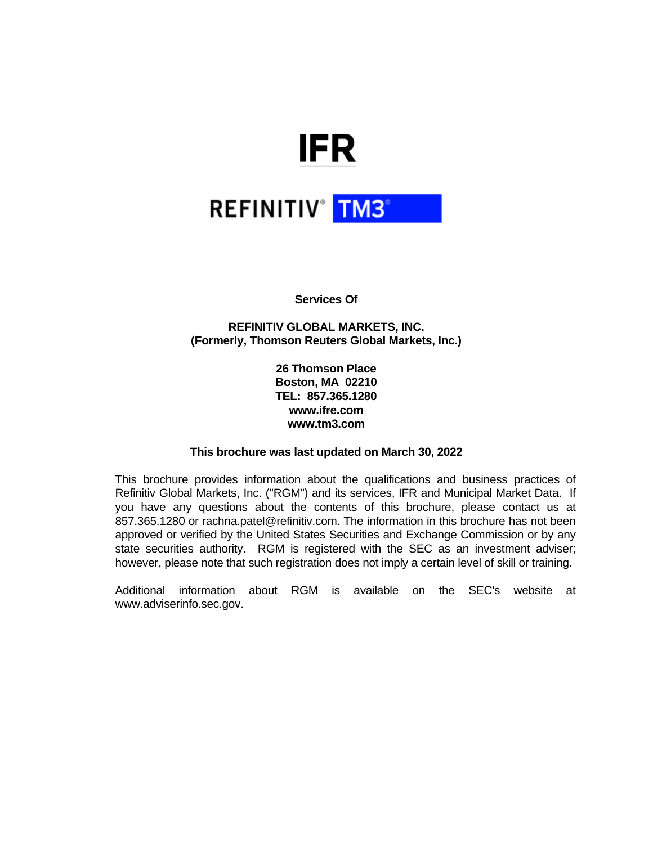# **IFR**

# **REFINITIV<sup>®</sup> TM3<sup>®</sup>**

**Services Of**

**REFINITIV GLOBAL MARKETS, INC. (Formerly, Thomson Reuters Global Markets, Inc.)**

> **26 Thomson Place Boston, MA 02210 TEL: 857.365.1280 www.ifre.com www.tm3.com**

### **This brochure was last updated on March 30, 2022**

This brochure provides information about the qualifications and business practices of Refinitiv Global Markets, Inc. ("RGM") and its services, IFR and Municipal Market Data. If you have any questions about the contents of this brochure, please contact us at 857.365.1280 or rachna.patel@refinitiv.com. The information in this brochure has not been approved or verified by the United States Securities and Exchange Commission or by any state securities authority. RGM is registered with the SEC as an investment adviser; however, please note that such registration does not imply a certain level of skill or training.

Additional information about RGM is available on the SEC's website at www.adviserinfo.sec.gov.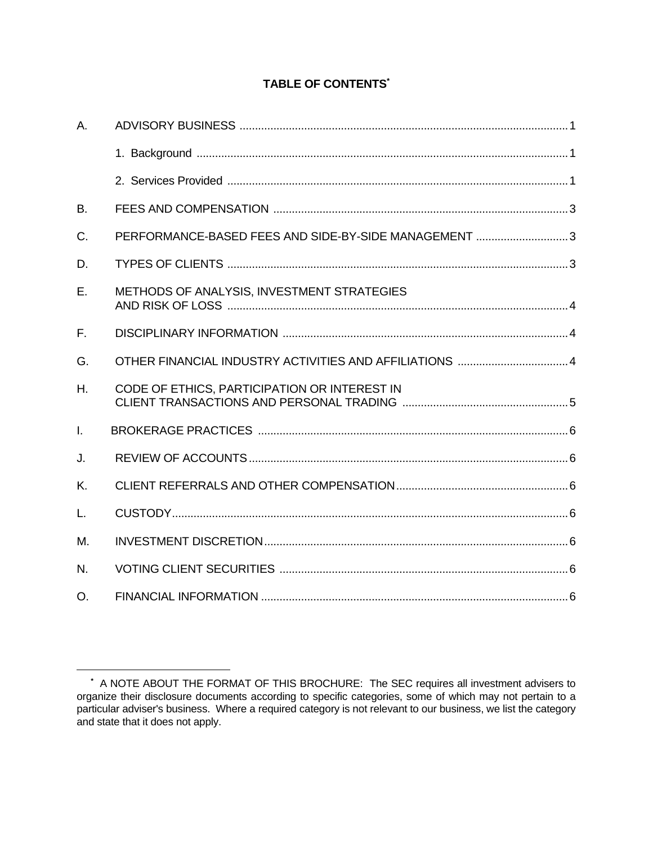# **TABLE OF CONTENTS\***

| A.           |                                                      |  |
|--------------|------------------------------------------------------|--|
|              |                                                      |  |
|              |                                                      |  |
| <b>B.</b>    |                                                      |  |
| C.           | PERFORMANCE-BASED FEES AND SIDE-BY-SIDE MANAGEMENT 3 |  |
| D.           |                                                      |  |
| Ε.           | METHODS OF ANALYSIS, INVESTMENT STRATEGIES           |  |
| F.           |                                                      |  |
| G.           |                                                      |  |
| $H_{\cdot}$  | CODE OF ETHICS, PARTICIPATION OR INTEREST IN         |  |
| $\mathsf{L}$ |                                                      |  |
| J.           |                                                      |  |
| K.           |                                                      |  |
| L.           |                                                      |  |
| М.           |                                                      |  |
| N.           |                                                      |  |
| O.           |                                                      |  |

**<sup>\*</sup>** A NOTE ABOUT THE FORMAT OF THIS BROCHURE: The SEC requires all investment advisers to organize their disclosure documents according to specific categories, some of which may not pertain to a particular adviser's business. Where a required category is not relevant to our business, we list the category and state that it does not apply.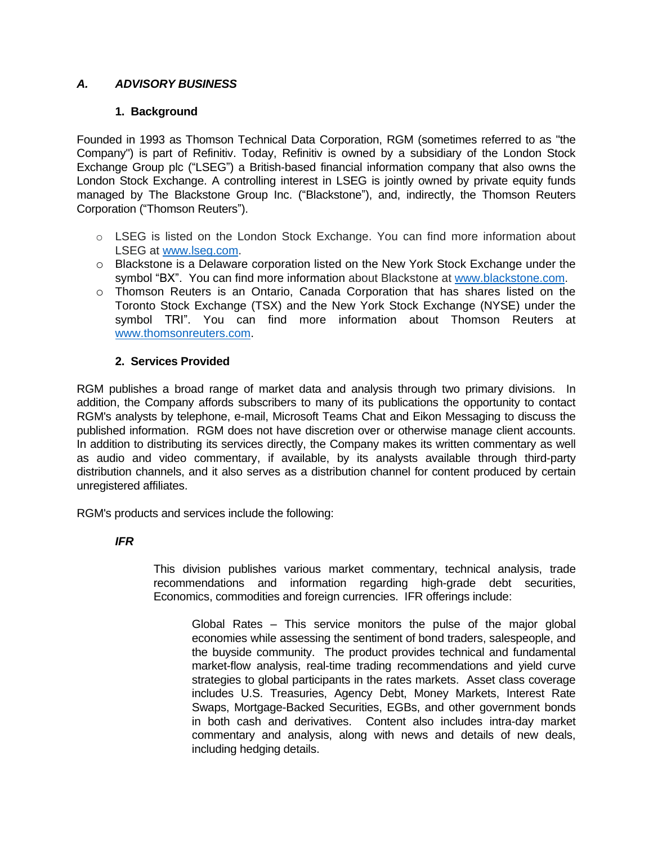# *A. ADVISORY BUSINESS*

# **1. Background**

Founded in 1993 as Thomson Technical Data Corporation, RGM (sometimes referred to as "the Company") is part of Refinitiv. Today, Refinitiv is owned by a subsidiary of the London Stock Exchange Group plc ("LSEG") a British-based financial information company that also owns the London Stock Exchange. A controlling interest in LSEG is jointly owned by private equity funds managed by The Blackstone Group Inc. ("Blackstone"), and, indirectly, the Thomson Reuters Corporation ("Thomson Reuters").

- o LSEG is listed on the London Stock Exchange. You can find more information about LSEG at [www.lseg.com.](http://www.lseg.com/)
- o Blackstone is a Delaware corporation listed on the New York Stock Exchange under the symbol "BX". You can find more information about Blackstone at [www.blackstone.com.](http://www.blackstone.com/)
- o Thomson Reuters is an Ontario, Canada Corporation that has shares listed on the Toronto Stock Exchange (TSX) and the New York Stock Exchange (NYSE) under the symbol TRI". You can find more information about Thomson Reuters at [www.thomsonreuters.com.](http://www.thomsonreuters.com/)

# **2. Services Provided**

RGM publishes a broad range of market data and analysis through two primary divisions. In addition, the Company affords subscribers to many of its publications the opportunity to contact RGM's analysts by telephone, e-mail, Microsoft Teams Chat and Eikon Messaging to discuss the published information. RGM does not have discretion over or otherwise manage client accounts. In addition to distributing its services directly, the Company makes its written commentary as well as audio and video commentary, if available, by its analysts available through third-party distribution channels, and it also serves as a distribution channel for content produced by certain unregistered affiliates.

RGM's products and services include the following:

# *IFR*

This division publishes various market commentary, technical analysis, trade recommendations and information regarding high-grade debt securities, Economics, commodities and foreign currencies. IFR offerings include:

Global Rates – This service monitors the pulse of the major global economies while assessing the sentiment of bond traders, salespeople, and the buyside community. The product provides technical and fundamental market-flow analysis, real-time trading recommendations and yield curve strategies to global participants in the rates markets. Asset class coverage includes U.S. Treasuries, Agency Debt, Money Markets, Interest Rate Swaps, Mortgage-Backed Securities, EGBs, and other government bonds in both cash and derivatives. Content also includes intra-day market commentary and analysis, along with news and details of new deals, including hedging details.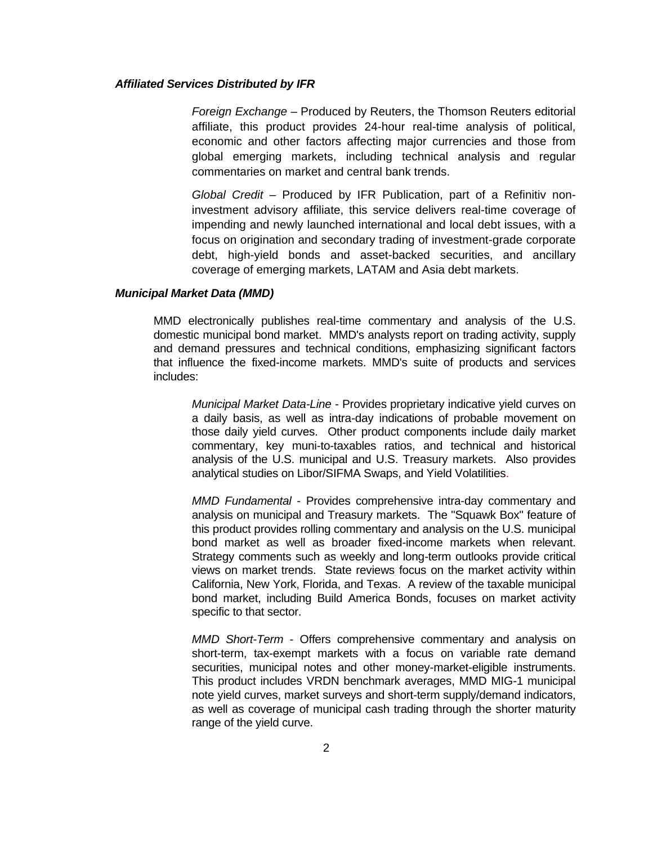#### *Affiliated Services Distributed by IFR*

*Foreign Exchange* – Produced by Reuters, the Thomson Reuters editorial affiliate, this product provides 24-hour real-time analysis of political, economic and other factors affecting major currencies and those from global emerging markets, including technical analysis and regular commentaries on market and central bank trends.

*Global Credit* – Produced by IFR Publication, part of a Refinitiv noninvestment advisory affiliate, this service delivers real-time coverage of impending and newly launched international and local debt issues, with a focus on origination and secondary trading of investment-grade corporate debt, high-yield bonds and asset-backed securities, and ancillary coverage of emerging markets, LATAM and Asia debt markets.

#### *Municipal Market Data (MMD)*

MMD electronically publishes real-time commentary and analysis of the U.S. domestic municipal bond market. MMD's analysts report on trading activity, supply and demand pressures and technical conditions, emphasizing significant factors that influence the fixed-income markets. MMD's suite of products and services includes:

*Municipal Market Data-Line* - Provides proprietary indicative yield curves on a daily basis, as well as intra-day indications of probable movement on those daily yield curves. Other product components include daily market commentary, key muni-to-taxables ratios, and technical and historical analysis of the U.S. municipal and U.S. Treasury markets. Also provides analytical studies on Libor/SIFMA Swaps, and Yield Volatilities.

*MMD Fundamental* - Provides comprehensive intra-day commentary and analysis on municipal and Treasury markets. The "Squawk Box" feature of this product provides rolling commentary and analysis on the U.S. municipal bond market as well as broader fixed-income markets when relevant. Strategy comments such as weekly and long-term outlooks provide critical views on market trends. State reviews focus on the market activity within California, New York, Florida, and Texas. A review of the taxable municipal bond market, including Build America Bonds, focuses on market activity specific to that sector.

*MMD Short-Term* - Offers comprehensive commentary and analysis on short-term, tax-exempt markets with a focus on variable rate demand securities, municipal notes and other money-market-eligible instruments. This product includes VRDN benchmark averages, MMD MIG-1 municipal note yield curves, market surveys and short-term supply/demand indicators, as well as coverage of municipal cash trading through the shorter maturity range of the yield curve.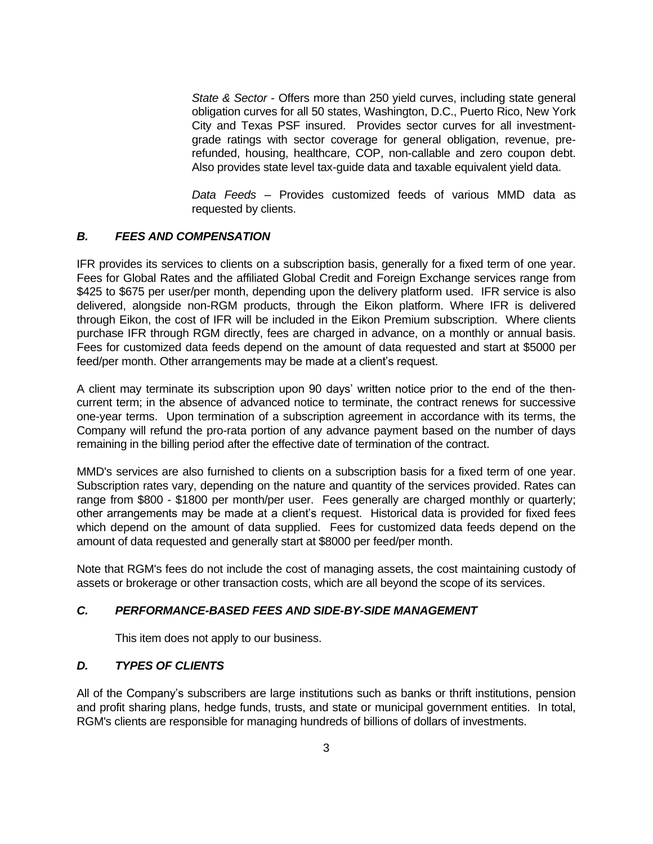*State & Sector* - Offers more than 250 yield curves, including state general obligation curves for all 50 states, Washington, D.C., Puerto Rico, New York City and Texas PSF insured. Provides sector curves for all investmentgrade ratings with sector coverage for general obligation, revenue, prerefunded, housing, healthcare, COP, non-callable and zero coupon debt. Also provides state level tax-guide data and taxable equivalent yield data.

*Data Feeds* – Provides customized feeds of various MMD data as requested by clients.

### *B. FEES AND COMPENSATION*

IFR provides its services to clients on a subscription basis, generally for a fixed term of one year. Fees for Global Rates and the affiliated Global Credit and Foreign Exchange services range from \$425 to \$675 per user/per month, depending upon the delivery platform used. IFR service is also delivered, alongside non-RGM products, through the Eikon platform. Where IFR is delivered through Eikon, the cost of IFR will be included in the Eikon Premium subscription. Where clients purchase IFR through RGM directly, fees are charged in advance, on a monthly or annual basis. Fees for customized data feeds depend on the amount of data requested and start at \$5000 per feed/per month. Other arrangements may be made at a client's request.

A client may terminate its subscription upon 90 days' written notice prior to the end of the thencurrent term; in the absence of advanced notice to terminate, the contract renews for successive one-year terms. Upon termination of a subscription agreement in accordance with its terms, the Company will refund the pro-rata portion of any advance payment based on the number of days remaining in the billing period after the effective date of termination of the contract.

MMD's services are also furnished to clients on a subscription basis for a fixed term of one year. Subscription rates vary, depending on the nature and quantity of the services provided. Rates can range from \$800 - \$1800 per month/per user. Fees generally are charged monthly or quarterly; other arrangements may be made at a client's request. Historical data is provided for fixed fees which depend on the amount of data supplied. Fees for customized data feeds depend on the amount of data requested and generally start at \$8000 per feed/per month.

Note that RGM's fees do not include the cost of managing assets, the cost maintaining custody of assets or brokerage or other transaction costs, which are all beyond the scope of its services.

### *C. PERFORMANCE-BASED FEES AND SIDE-BY-SIDE MANAGEMENT*

This item does not apply to our business.

### *D. TYPES OF CLIENTS*

All of the Company's subscribers are large institutions such as banks or thrift institutions, pension and profit sharing plans, hedge funds, trusts, and state or municipal government entities. In total, RGM's clients are responsible for managing hundreds of billions of dollars of investments.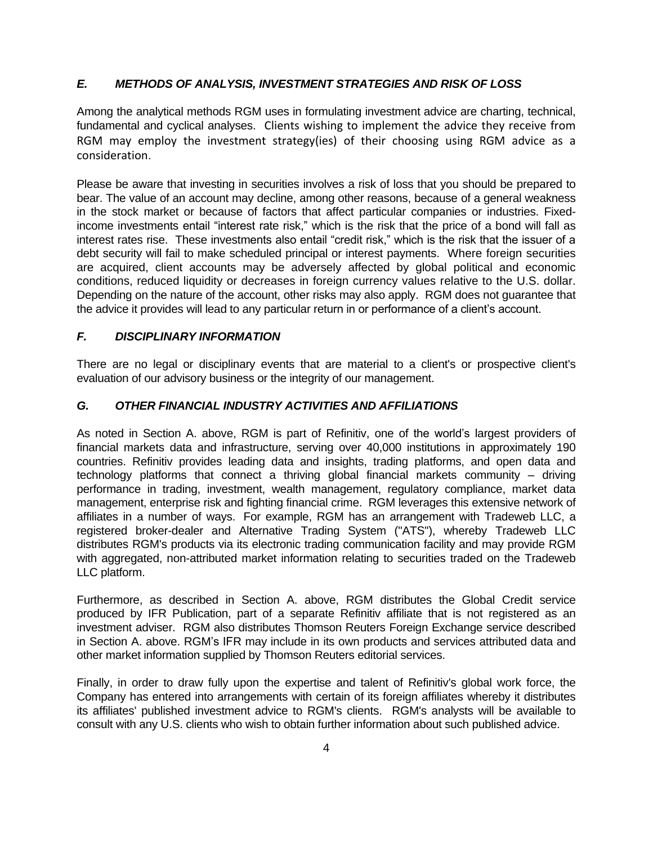#### *E. METHODS OF ANALYSIS, INVESTMENT STRATEGIES AND RISK OF LOSS*

Among the analytical methods RGM uses in formulating investment advice are charting, technical, fundamental and cyclical analyses. Clients wishing to implement the advice they receive from RGM may employ the investment strategy(ies) of their choosing using RGM advice as a consideration.

Please be aware that investing in securities involves a risk of loss that you should be prepared to bear. The value of an account may decline, among other reasons, because of a general weakness in the stock market or because of factors that affect particular companies or industries. Fixedincome investments entail "interest rate risk," which is the risk that the price of a bond will fall as interest rates rise. These investments also entail "credit risk," which is the risk that the issuer of a debt security will fail to make scheduled principal or interest payments. Where foreign securities are acquired, client accounts may be adversely affected by global political and economic conditions, reduced liquidity or decreases in foreign currency values relative to the U.S. dollar. Depending on the nature of the account, other risks may also apply. RGM does not guarantee that the advice it provides will lead to any particular return in or performance of a client's account.

#### *F. DISCIPLINARY INFORMATION*

There are no legal or disciplinary events that are material to a client's or prospective client's evaluation of our advisory business or the integrity of our management.

#### *G. OTHER FINANCIAL INDUSTRY ACTIVITIES AND AFFILIATIONS*

As noted in Section A. above, RGM is part of Refinitiv, one of the world's largest providers of financial markets data and infrastructure, serving over 40,000 institutions in approximately 190 countries. Refinitiv provides leading data and insights, trading platforms, and open data and technology platforms that connect a thriving global financial markets community – driving performance in trading, investment, wealth management, regulatory compliance, market data management, enterprise risk and fighting financial crime. RGM leverages this extensive network of affiliates in a number of ways. For example, RGM has an arrangement with Tradeweb LLC, a registered broker-dealer and Alternative Trading System ("ATS"), whereby Tradeweb LLC distributes RGM's products via its electronic trading communication facility and may provide RGM with aggregated, non-attributed market information relating to securities traded on the Tradeweb LLC platform.

Furthermore, as described in Section A. above, RGM distributes the Global Credit service produced by IFR Publication, part of a separate Refinitiv affiliate that is not registered as an investment adviser. RGM also distributes Thomson Reuters Foreign Exchange service described in Section A. above. RGM's IFR may include in its own products and services attributed data and other market information supplied by Thomson Reuters editorial services.

Finally, in order to draw fully upon the expertise and talent of Refinitiv's global work force, the Company has entered into arrangements with certain of its foreign affiliates whereby it distributes its affiliates' published investment advice to RGM's clients. RGM's analysts will be available to consult with any U.S. clients who wish to obtain further information about such published advice.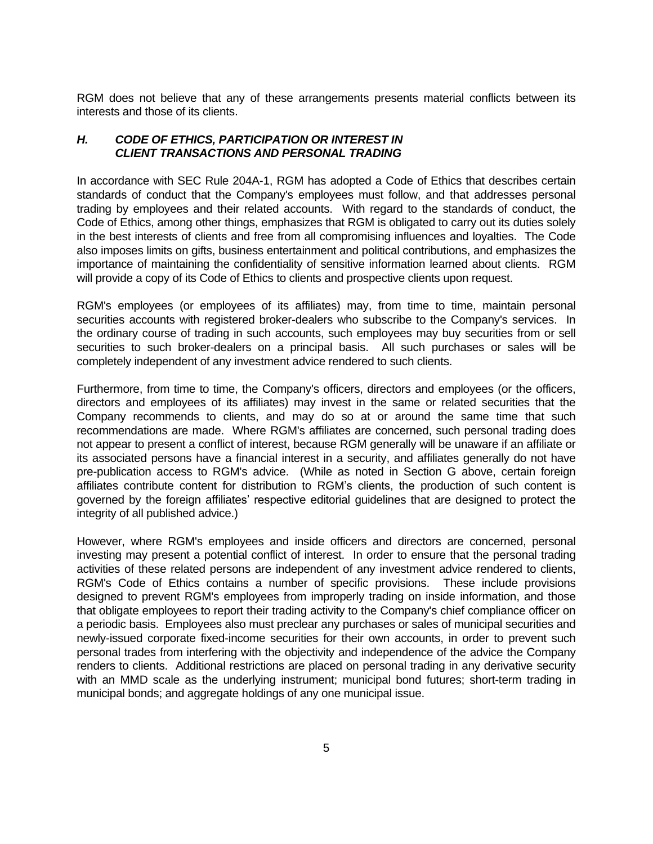RGM does not believe that any of these arrangements presents material conflicts between its interests and those of its clients.

#### *H. CODE OF ETHICS, PARTICIPATION OR INTEREST IN CLIENT TRANSACTIONS AND PERSONAL TRADING*

In accordance with SEC Rule 204A-1, RGM has adopted a Code of Ethics that describes certain standards of conduct that the Company's employees must follow, and that addresses personal trading by employees and their related accounts. With regard to the standards of conduct, the Code of Ethics, among other things, emphasizes that RGM is obligated to carry out its duties solely in the best interests of clients and free from all compromising influences and loyalties. The Code also imposes limits on gifts, business entertainment and political contributions, and emphasizes the importance of maintaining the confidentiality of sensitive information learned about clients. RGM will provide a copy of its Code of Ethics to clients and prospective clients upon request.

RGM's employees (or employees of its affiliates) may, from time to time, maintain personal securities accounts with registered broker-dealers who subscribe to the Company's services. In the ordinary course of trading in such accounts, such employees may buy securities from or sell securities to such broker-dealers on a principal basis. All such purchases or sales will be completely independent of any investment advice rendered to such clients.

Furthermore, from time to time, the Company's officers, directors and employees (or the officers, directors and employees of its affiliates) may invest in the same or related securities that the Company recommends to clients, and may do so at or around the same time that such recommendations are made. Where RGM's affiliates are concerned, such personal trading does not appear to present a conflict of interest, because RGM generally will be unaware if an affiliate or its associated persons have a financial interest in a security, and affiliates generally do not have pre-publication access to RGM's advice. (While as noted in Section G above, certain foreign affiliates contribute content for distribution to RGM's clients, the production of such content is governed by the foreign affiliates' respective editorial guidelines that are designed to protect the integrity of all published advice.)

However, where RGM's employees and inside officers and directors are concerned, personal investing may present a potential conflict of interest. In order to ensure that the personal trading activities of these related persons are independent of any investment advice rendered to clients, RGM's Code of Ethics contains a number of specific provisions. These include provisions designed to prevent RGM's employees from improperly trading on inside information, and those that obligate employees to report their trading activity to the Company's chief compliance officer on a periodic basis. Employees also must preclear any purchases or sales of municipal securities and newly-issued corporate fixed-income securities for their own accounts, in order to prevent such personal trades from interfering with the objectivity and independence of the advice the Company renders to clients. Additional restrictions are placed on personal trading in any derivative security with an MMD scale as the underlying instrument; municipal bond futures; short-term trading in municipal bonds; and aggregate holdings of any one municipal issue.